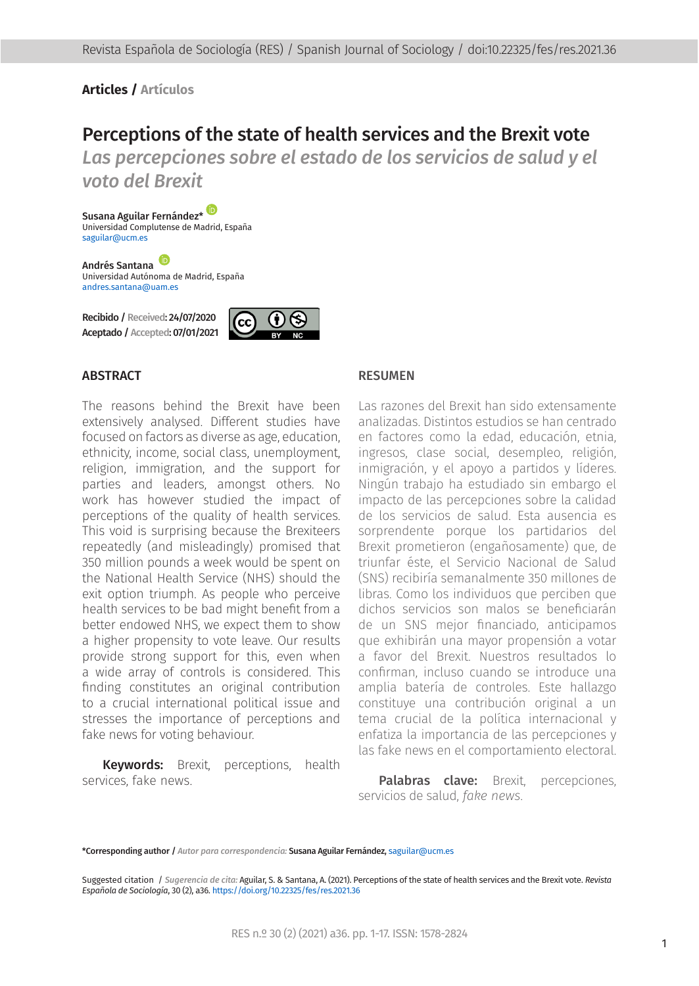#### **Articles / Artículos**

# Perceptions of the state of health services and the Brexit vote

Las percepciones sobre el estado de los servicios de salud y el *voto del Brexit*

Susana Aguilar Fernández[\\*](https://orcid.org/0000-0001-8185-2747) Universidad Complutense de Madrid, España [saguilar@ucm.es](mailto:saguilar%40ucm.es?subject=)

Andrés Santana Universidad Autónoma de Madrid, España [andres.santana@uam.es](mailto:andres.santana%40uam.es?subject=)

Recibido / Received: 24/07/2020 Aceptado / Accepted: 07/01/2021



#### **ABSTRACT**

The reasons behind the Brexit have been extensively analysed. Different studies have focused on factors as diverse as age, education, ethnicity, income, social class, unemployment, religion, immigration, and the support for parties and leaders, amongst others. No work has however studied the impact of perceptions of the quality of health services. This void is surprising because the Brexiteers repeatedly (and misleadingly) promised that 350 million pounds a week would be spent on the National Health Service (NHS) should the exit option triumph. As people who perceive health services to be bad might benefit from a better endowed NHS, we expect them to show a higher propensity to vote leave. Our results provide strong support for this, even when a wide array of controls is considered. This finding constitutes an original contribution to a crucial international political issue and stresses the importance of perceptions and fake news for voting behaviour.

Keywords: Brexit, perceptions, health services, fake news.

#### RESUMEN

Las razones del Brexit han sido extensamente analizadas. Distintos estudios se han centrado en factores como la edad, educación, etnia, ingresos, clase social, desempleo, religión, inmigración, y el apoyo a partidos y líderes. Ningún trabajo ha estudiado sin embargo el impacto de las percepciones sobre la calidad de los servicios de salud. Esta ausencia es sorprendente porque los partidarios del Brexit prometieron (engañosamente) que, de triunfar éste, el Servicio Nacional de Salud (SNS) recibiría semanalmente 350 millones de libras. Como los individuos que perciben que dichos servicios son malos se beneficiarán de un SNS mejor financiado, anticipamos que exhibirán una mayor propensión a votar a favor del Brexit. Nuestros resultados lo confirman, incluso cuando se introduce una amplia batería de controles. Este hallazgo constituye una contribución original a un tema crucial de la política internacional y enfatiza la importancia de las percepciones y las fake news en el comportamiento electoral.

Palabras clave: Brexit, percepciones, servicios de salud, *fake news*.

\*Corresponding author / *Autor para correspondencia:* Susana Aguilar Fernández, <saguilar@ucm.es>

Suggested citation / *Sugerencia de cita:* Aguilar, S. & Santana, A. (2021). Perceptions of the state of health services and the Brexit vote. *Revista Española de Sociología*, 30 (2), a36. [https://doi.org/10.22325/fes/res.2021](https://doi.org/10.22325/fes/res.2021.36).36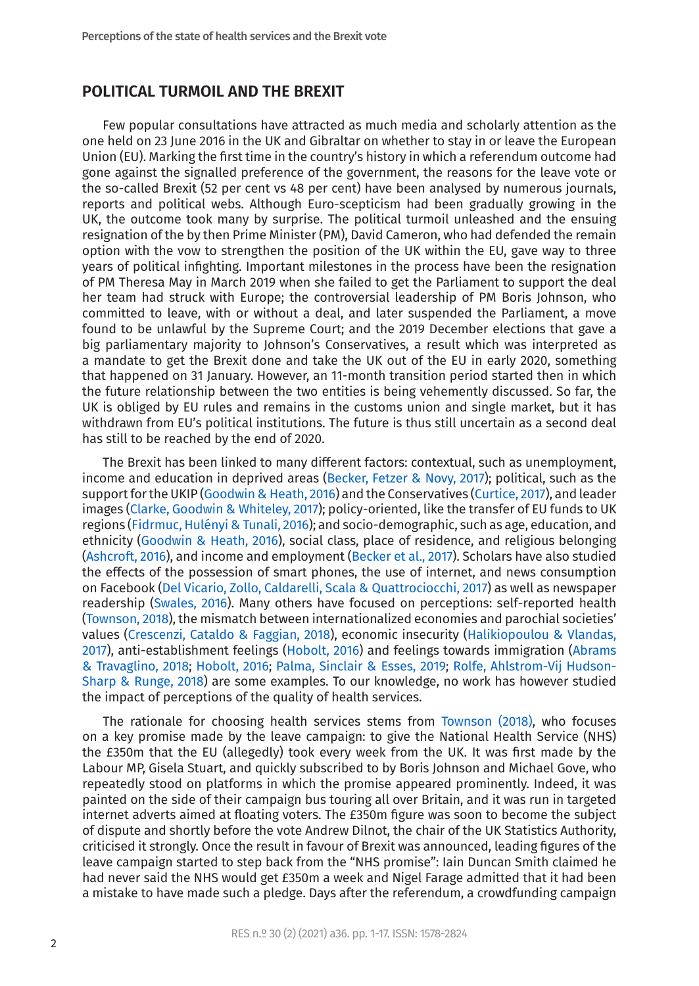#### **POLITICAL TURMOIL AND THE BREXIT**

Few popular consultations have attracted as much media and scholarly attention as the one held on 23 June 2016 in the UK and Gibraltar on whether to stay in or leave the European Union (EU). Marking the first time in the country's history in which a referendum outcome had gone against the signalled preference of the government, the reasons for the leave vote or the so-called Brexit (52 per cent vs 48 per cent) have been analysed by numerous journals, reports and political webs. Although Euro-scepticism had been gradually growing in the UK, the outcome took many by surprise. The political turmoil unleashed and the ensuing resignation of the by then Prime Minister (PM), David Cameron, who had defended the remain option with the vow to strengthen the position of the UK within the EU, gave way to three years of political infighting. Important milestones in the process have been the resignation of PM Theresa May in March 2019 when she failed to get the Parliament to support the deal her team had struck with Europe; the controversial leadership of PM Boris Johnson, who committed to leave, with or without a deal, and later suspended the Parliament, a move found to be unlawful by the Supreme Court; and the 2019 December elections that gave a big parliamentary majority to Johnson's Conservatives, a result which was interpreted as a mandate to get the Brexit done and take the UK out of the EU in early 2020, something that happened on 31 January. However, an 11-month transition period started then in which the future relationship between the two entities is being vehemently discussed. So far, the UK is obliged by EU rules and remains in the customs union and single market, but it has withdrawn from EU's political institutions. The future is thus still uncertain as a second deal has still to be reached by the end of 2020.

The Brexit has been linked to many different factors: contextual, such as unemployment, income and education in deprived areas ([Becker, Fetzer & Novy, 2017](#page-11-0)); political, such as the support for the UKIP ([Goodwin & Heath, 2016](#page-12-0)) and the Conservatives [\(Curtice, 2017](#page-12-1)), and leader images ([Clarke, Goodwin & Whiteley, 2017](#page-12-2)); policy-oriented, like the transfer of EU funds to UK regions (Fidrmuc, Hulényi & Tunali, 2016); and socio-demographic, such as age, education, and ethnicity [\(Goodwin & Heath, 2016\)](#page-12-0), social class, place of residence, and religious belonging ([Ashcroft, 2016](#page-11-1)), and income and employment ([Becker et al., 2017](#page-11-0)). Scholars have also studied the effects of the possession of smart phones, the use of internet, and news consumption on Facebook ([Del Vicario, Zollo, Caldarelli, Scala & Quattrociocchi, 2017](#page-12-3)) as well as newspaper readership [\(Swales, 2016\)](#page-14-0). Many others have focused on perceptions: self-reported health ([Townson, 2018](#page-14-1)), the mismatch between internationalized economies and parochial societies' values [\(Crescenzi, Cataldo & Faggian, 2018\)](#page-12-4), economic insecurity [\(Halikiopoulou & Vlandas,](#page-13-0) [2017\)](#page-13-0), anti-establishment feelings ([Hobolt, 2016\)](#page-13-1) and feelings towards immigration [\(Abrams](#page-11-2) [& Travaglino, 2018](#page-11-2); [Hobolt, 2016](#page-13-1); [Palma, Sinclair & Esses, 2019](#page-13-2); [Rolfe, Ahlstrom-Vij Hudson-](#page-13-3)[Sharp & Runge, 2018](#page-13-3)) are some examples. To our knowledge, no work has however studied the impact of perceptions of the quality of health services.

The rationale for choosing health services stems from [Townson \(2018\)](#page-14-1), who focuses on a key promise made by the leave campaign: to give the National Health Service (NHS) the £350m that the EU (allegedly) took every week from the UK. It was first made by the Labour MP, Gisela Stuart, and quickly subscribed to by Boris Johnson and Michael Gove, who repeatedly stood on platforms in which the promise appeared prominently. Indeed, it was painted on the side of their campaign bus touring all over Britain, and it was run in targeted internet adverts aimed at floating voters. The £350m figure was soon to become the subject of dispute and shortly before the vote Andrew Dilnot, the chair of the UK Statistics Authority, criticised it strongly. Once the result in favour of Brexit was announced, leading figures of the leave campaign started to step back from the "NHS promise": Iain Duncan Smith claimed he had never said the NHS would get £350m a week and Nigel Farage admitted that it had been a mistake to have made such a pledge. Days after the referendum, a crowdfunding campaign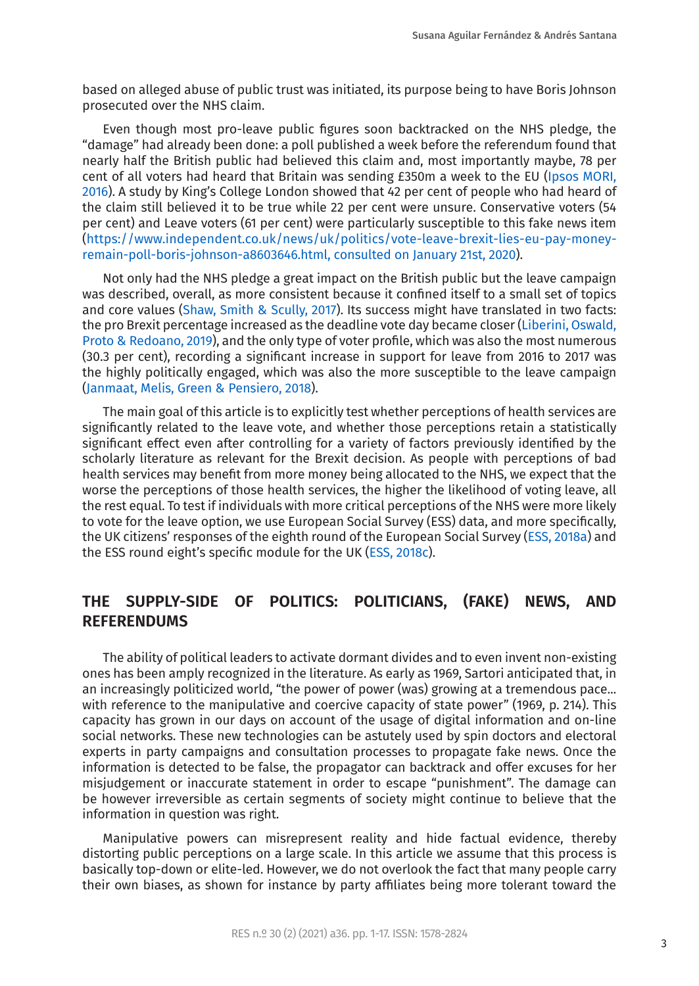based on alleged abuse of public trust was initiated, its purpose being to have Boris Johnson prosecuted over the NHS claim.

Even though most pro-leave public figures soon backtracked on the NHS pledge, the "damage" had already been done: a poll published a week before the referendum found that nearly half the British public had believed this claim and, most importantly maybe, 78 per cent of all voters had heard that Britain was sending £350m a week to the EU [\(Ipsos MORI,](#page-13-4) [2016\)](#page-13-4). A study by King's College London showed that 42 per cent of people who had heard of the claim still believed it to be true while 22 per cent were unsure. Conservative voters (54 per cent) and Leave voters (61 per cent) were particularly susceptible to this fake news item ([https://www.independent.co.uk/news/uk/politics/vote-leave-brexit-lies-eu-pay-money](https://www.independent.co.uk/news/uk/politics/vote-leave-brexit-lies-eu-pay-money-remain-poll-boris-johnson-a8603646.html, consulted on January 21st, 2020)[remain-poll-boris-johnson-a8603646.html, consulted on January 21st, 2020\)](https://www.independent.co.uk/news/uk/politics/vote-leave-brexit-lies-eu-pay-money-remain-poll-boris-johnson-a8603646.html, consulted on January 21st, 2020).

Not only had the NHS pledge a great impact on the British public but the leave campaign was described, overall, as more consistent because it confined itself to a small set of topics and core values [\(Shaw, Smith & Scully, 2017\)](#page-14-2). Its success might have translated in two facts: the pro Brexit percentage increased as the deadline vote day became closer ([Liberini, Oswald,](#page-13-5) [Proto & Redoano, 2019](#page-13-5)), and the only type of voter profile, which was also the most numerous (30.3 per cent), recording a significant increase in support for leave from 2016 to 2017 was the highly politically engaged, which was also the more susceptible to the leave campaign ([Janmaat, Melis, Green & Pensiero, 2018\)](#page-13-6).

The main goal of this article is to explicitly test whether perceptions of health services are significantly related to the leave vote, and whether those perceptions retain a statistically significant effect even after controlling for a variety of factors previously identified by the scholarly literature as relevant for the Brexit decision. As people with perceptions of bad health services may benefit from more money being allocated to the NHS, we expect that the worse the perceptions of those health services, the higher the likelihood of voting leave, all the rest equal. To test if individuals with more critical perceptions of the NHS were more likely to vote for the leave option, we use European Social Survey (ESS) data, and more specifically, the UK citizens' responses of the eighth round of the European Social Survey [\(ESS, 2018a](#page-12-5)) and the ESS round eight's specific module for the UK ([ESS, 2018c](#page-12-6)).

## **THE SUPPLY-SIDE OF POLITICS: POLITICIANS, (FAKE) NEWS, AND REFERENDUMS**

The ability of political leaders to activate dormant divides and to even invent non-existing ones has been amply recognized in the literature. As early as 1969, Sartori anticipated that, in an increasingly politicized world, "the power of power (was) growing at a tremendous pace... with reference to the manipulative and coercive capacity of state power" (1969, p. 214). This capacity has grown in our days on account of the usage of digital information and on-line social networks. These new technologies can be astutely used by spin doctors and electoral experts in party campaigns and consultation processes to propagate fake news. Once the information is detected to be false, the propagator can backtrack and offer excuses for her misjudgement or inaccurate statement in order to escape "punishment". The damage can be however irreversible as certain segments of society might continue to believe that the information in question was right.

Manipulative powers can misrepresent reality and hide factual evidence, thereby distorting public perceptions on a large scale. In this article we assume that this process is basically top-down or elite-led. However, we do not overlook the fact that many people carry their own biases, as shown for instance by party affiliates being more tolerant toward the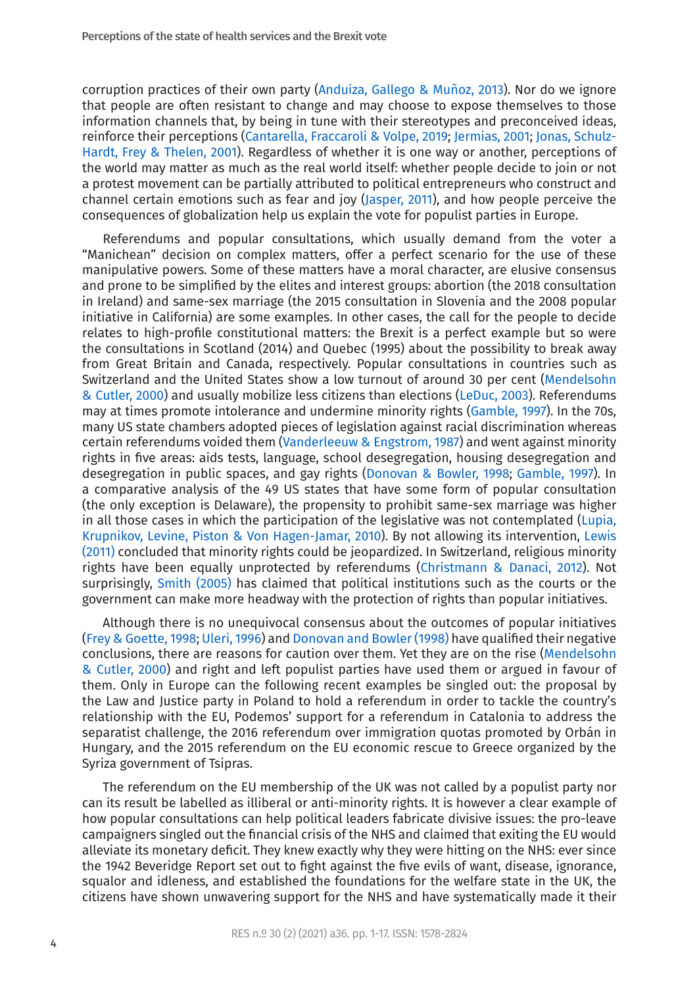corruption practices of their own party (Anduiza, Gallego & Muñoz, 2013). Nor do we ignore that people are often resistant to change and may choose to expose themselves to those information channels that, by being in tune with their stereotypes and preconceived ideas, reinforce their perceptions [\(Cantarella, Fraccaroli & Volpe, 2019;](#page-12-7) [Jermias, 2001](#page-13-7); [Jonas, Schulz-](#page-13-8)[Hardt, Frey & Thelen, 2001](#page-13-8)). Regardless of whether it is one way or another, perceptions of the world may matter as much as the real world itself: whether people decide to join or not a protest movement can be partially attributed to political entrepreneurs who construct and channel certain emotions such as fear and joy ([Jasper, 2011](#page-13-9)), and how people perceive the consequences of globalization help us explain the vote for populist parties in Europe.

Referendums and popular consultations, which usually demand from the voter a "Manichean" decision on complex matters, offer a perfect scenario for the use of these manipulative powers. Some of these matters have a moral character, are elusive consensus and prone to be simplified by the elites and interest groups: abortion (the 2018 consultation in Ireland) and same-sex marriage (the 2015 consultation in Slovenia and the 2008 popular initiative in California) are some examples. In other cases, the call for the people to decide relates to high-profile constitutional matters: the Brexit is a perfect example but so were the consultations in Scotland (2014) and Quebec (1995) about the possibility to break away from Great Britain and Canada, respectively. Popular consultations in countries such as Switzerland and the United States show a low turnout of around 30 per cent ([Mendelsohn](#page-13-10) [& Cutler, 2000\)](#page-13-10) and usually mobilize less citizens than elections [\(LeDuc, 2003](#page-13-11)). Referendums may at times promote intolerance and undermine minority rights ([Gamble, 1997\)](#page-12-8). In the 70s, many US state chambers adopted pieces of legislation against racial discrimination whereas certain referendums voided them [\(Vanderleeuw & Engstrom, 1987\)](#page-14-3) and went against minority rights in five areas: aids tests, language, school desegregation, housing desegregation and desegregation in public spaces, and gay rights ([Donovan & Bowler, 1998](#page-12-9); [Gamble, 1997](#page-12-8)). In a comparative analysis of the 49 US states that have some form of popular consultation (the only exception is Delaware), the propensity to prohibit same-sex marriage was higher in all those cases in which the participation of the legislative was not contemplated [\(Lupia,](#page-13-12) [Krupnikov, Levine, Piston & Von Hagen-Jamar, 2010\)](#page-13-12). By not allowing its intervention, [Lewis](#page-13-13) [\(2011\)](#page-13-13) concluded that minority rights could be jeopardized. In Switzerland, religious minority rights have been equally unprotected by referendums [\(Christmann & Danaci, 2012\)](#page-12-10). Not surprisingly, [Smith \(2005\)](#page-14-4) has claimed that political institutions such as the courts or the government can make more headway with the protection of rights than popular initiatives.

Although there is no unequivocal consensus about the outcomes of popular initiatives ([Frey & Goette, 1998](#page-12-11); [Uleri, 1996](#page-14-5)) and [Donovan and Bowler \(1998\)](#page-12-9) have qualified their negative conclusions, there are reasons for caution over them. Yet they are on the rise [\(Mendelsohn](#page-13-10) [& Cutler, 2000\)](#page-13-10) and right and left populist parties have used them or argued in favour of them. Only in Europe can the following recent examples be singled out: the proposal by the Law and Justice party in Poland to hold a referendum in order to tackle the country's relationship with the EU, Podemos' support for a referendum in Catalonia to address the separatist challenge, the 2016 referendum over immigration quotas promoted by Orbán in Hungary, and the 2015 referendum on the EU economic rescue to Greece organized by the Syriza government of Tsipras.

The referendum on the EU membership of the UK was not called by a populist party nor can its result be labelled as illiberal or anti-minority rights. It is however a clear example of how popular consultations can help political leaders fabricate divisive issues: the pro-leave campaigners singled out the financial crisis of the NHS and claimed that exiting the EU would alleviate its monetary deficit. They knew exactly why they were hitting on the NHS: ever since the 1942 Beveridge Report set out to fight against the five evils of want, disease, ignorance, squalor and idleness, and established the foundations for the welfare state in the UK, the citizens have shown unwavering support for the NHS and have systematically made it their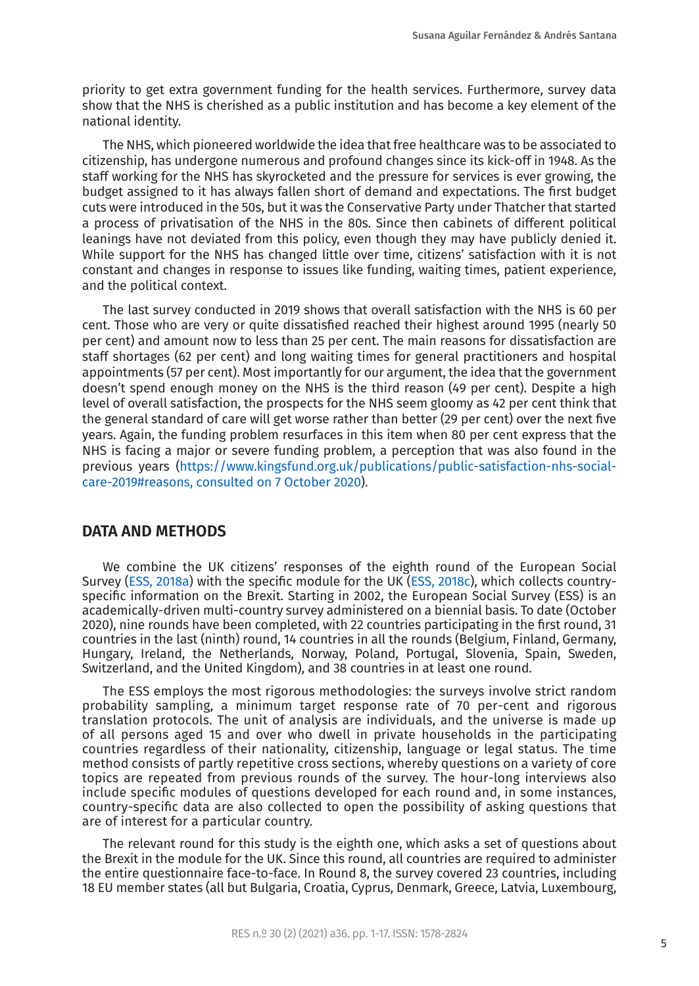priority to get extra government funding for the health services. Furthermore, survey data show that the NHS is cherished as a public institution and has become a key element of the national identity.

The NHS, which pioneered worldwide the idea that free healthcare was to be associated to citizenship, has undergone numerous and profound changes since its kick-off in 1948. As the staff working for the NHS has skyrocketed and the pressure for services is ever growing, the budget assigned to it has always fallen short of demand and expectations. The first budget cuts were introduced in the 50s, but it was the Conservative Party under Thatcher that started a process of privatisation of the NHS in the 80s. Since then cabinets of different political leanings have not deviated from this policy, even though they may have publicly denied it. While support for the NHS has changed little over time, citizens' satisfaction with it is not constant and changes in response to issues like funding, waiting times, patient experience, and the political context.

The last survey conducted in 2019 shows that overall satisfaction with the NHS is 60 per cent. Those who are very or quite dissatisfied reached their highest around 1995 (nearly 50 per cent) and amount now to less than 25 per cent. The main reasons for dissatisfaction are staff shortages (62 per cent) and long waiting times for general practitioners and hospital appointments (57 per cent). Most importantly for our argument, the idea that the government doesn't spend enough money on the NHS is the third reason (49 per cent). Despite a high level of overall satisfaction, the prospects for the NHS seem gloomy as 42 per cent think that the general standard of care will get worse rather than better (29 per cent) over the next five years. Again, the funding problem resurfaces in this item when 80 per cent express that the NHS is facing a major or severe funding problem, a perception that was also found in the previous years [\(https://www.kingsfund.org.uk/publications/public-satisfaction-nhs-social](https://www.kingsfund.org.uk/publications/public-satisfaction-nhs-social-care-2019#reasons, consulted on 7 October 2020)[care-2019#reasons, consulted on 7 October 2020\)](https://www.kingsfund.org.uk/publications/public-satisfaction-nhs-social-care-2019#reasons, consulted on 7 October 2020).

#### **DATA AND METHODS**

We combine the UK citizens' responses of the eighth round of the European Social Survey ([ESS, 2018a](#page-12-5)) with the specific module for the UK [\(ESS, 2018c](#page-12-6)), which collects countryspecific information on the Brexit. Starting in 2002, the European Social Survey (ESS) is an academically-driven multi-country survey administered on a biennial basis. To date (October 2020), nine rounds have been completed, with 22 countries participating in the first round, 31 countries in the last (ninth) round, 14 countries in all the rounds (Belgium, Finland, Germany, Hungary, Ireland, the Netherlands, Norway, Poland, Portugal, Slovenia, Spain, Sweden, Switzerland, and the United Kingdom), and 38 countries in at least one round.

The ESS employs the most rigorous methodologies: the surveys involve strict random probability sampling, a minimum target response rate of 70 per-cent and rigorous translation protocols. The unit of analysis are individuals, and the universe is made up of all persons aged 15 and over who dwell in private households in the participating countries regardless of their nationality, citizenship, language or legal status. The time method consists of partly repetitive cross sections, whereby questions on a variety of core topics are repeated from previous rounds of the survey. The hour-long interviews also include specific modules of questions developed for each round and, in some instances, country-specific data are also collected to open the possibility of asking questions that are of interest for a particular country.

The relevant round for this study is the eighth one, which asks a set of questions about the Brexit in the module for the UK. Since this round, all countries are required to administer the entire questionnaire face-to-face. In Round 8, the survey covered 23 countries, including 18 EU member states (all but Bulgaria, Croatia, Cyprus, Denmark, Greece, Latvia, Luxembourg,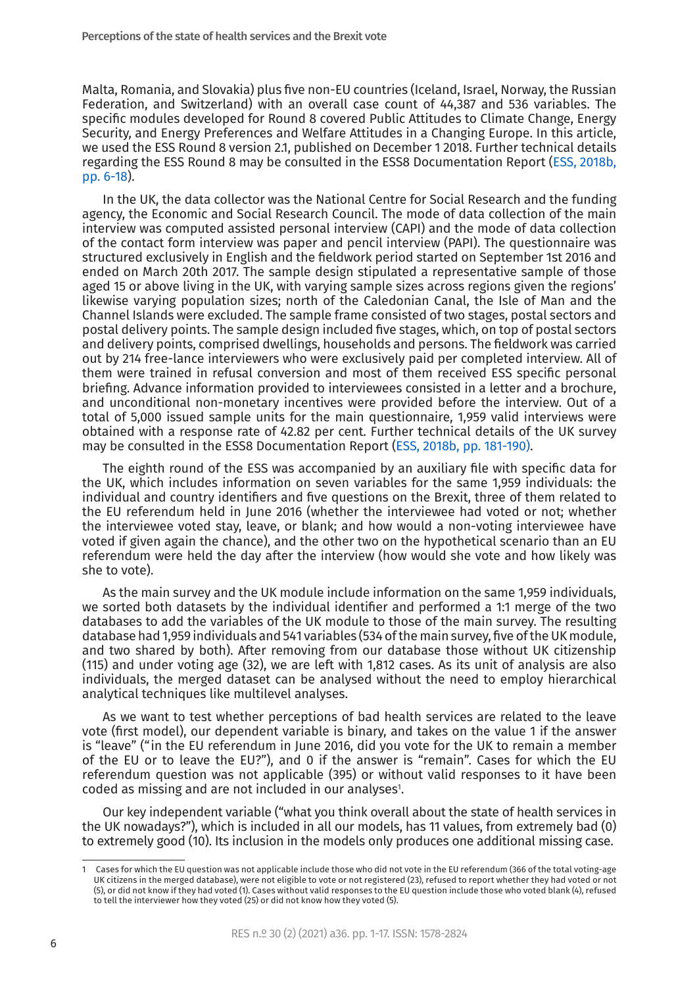Malta, Romania, and Slovakia) plus five non-EU countries (Iceland, Israel, Norway, the Russian Federation, and Switzerland) with an overall case count of 44,387 and 536 variables. The specific modules developed for Round 8 covered Public Attitudes to Climate Change, Energy Security, and Energy Preferences and Welfare Attitudes in a Changing Europe. In this article, we used the ESS Round 8 version 2.1, published on December 1 2018. Further technical details regarding the ESS Round 8 may be consulted in the ESS8 Documentation Report [\(ESS, 2018b,](#page-12-12) [pp. 6-18\)](#page-12-12).

In the UK, the data collector was the National Centre for Social Research and the funding agency, the Economic and Social Research Council. The mode of data collection of the main interview was computed assisted personal interview (CAPI) and the mode of data collection of the contact form interview was paper and pencil interview (PAPI). The questionnaire was structured exclusively in English and the fieldwork period started on September 1st 2016 and ended on March 20th 2017. The sample design stipulated a representative sample of those aged 15 or above living in the UK, with varying sample sizes across regions given the regions' likewise varying population sizes; north of the Caledonian Canal, the Isle of Man and the Channel Islands were excluded. The sample frame consisted of two stages, postal sectors and postal delivery points. The sample design included five stages, which, on top of postal sectors and delivery points, comprised dwellings, households and persons. The fieldwork was carried out by 214 free-lance interviewers who were exclusively paid per completed interview. All of them were trained in refusal conversion and most of them received ESS specific personal briefing. Advance information provided to interviewees consisted in a letter and a brochure, and unconditional non-monetary incentives were provided before the interview. Out of a total of 5,000 issued sample units for the main questionnaire, 1,959 valid interviews were obtained with a response rate of 42.82 per cent. Further technical details of the UK survey may be consulted in the ESS8 Documentation Report [\(ESS, 2018b, pp. 181-190\).](#page-12-12)

The eighth round of the ESS was accompanied by an auxiliary file with specific data for the UK, which includes information on seven variables for the same 1,959 individuals: the individual and country identifiers and five questions on the Brexit, three of them related to the EU referendum held in June 2016 (whether the interviewee had voted or not; whether the interviewee voted stay, leave, or blank; and how would a non-voting interviewee have voted if given again the chance), and the other two on the hypothetical scenario than an EU referendum were held the day after the interview (how would she vote and how likely was she to vote).

As the main survey and the UK module include information on the same 1,959 individuals, we sorted both datasets by the individual identifier and performed a 1:1 merge of the two databases to add the variables of the UK module to those of the main survey. The resulting database had 1,959 individuals and 541 variables (534 of the main survey, five of the UK module, and two shared by both). After removing from our database those without UK citizenship (115) and under voting age (32), we are left with 1,812 cases. As its unit of analysis are also individuals, the merged dataset can be analysed without the need to employ hierarchical analytical techniques like multilevel analyses.

As we want to test whether perceptions of bad health services are related to the leave vote (first model), our dependent variable is binary, and takes on the value 1 if the answer is "leave" ("in the EU referendum in June 2016, did you vote for the UK to remain a member of the EU or to leave the EU?"), and 0 if the answer is "remain". Cases for which the EU referendum question was not applicable (395) or without valid responses to it have been coded as missing and are not included in our analyses<sup>1</sup>.

Our key independent variable ("what you think overall about the state of health services in the UK nowadays?"), which is included in all our models, has 11 values, from extremely bad (0) to extremely good (10). Its inclusion in the models only produces one additional missing case.

<sup>1</sup> Cases for which the EU question was not applicable include those who did not vote in the EU referendum (366 of the total voting-age UK citizens in the merged database), were not eligible to vote or not registered (23), refused to report whether they had voted or not (5), or did not know if they had voted (1). Cases without valid responses to the EU question include those who voted blank (4), refused to tell the interviewer how they voted (25) or did not know how they voted (5).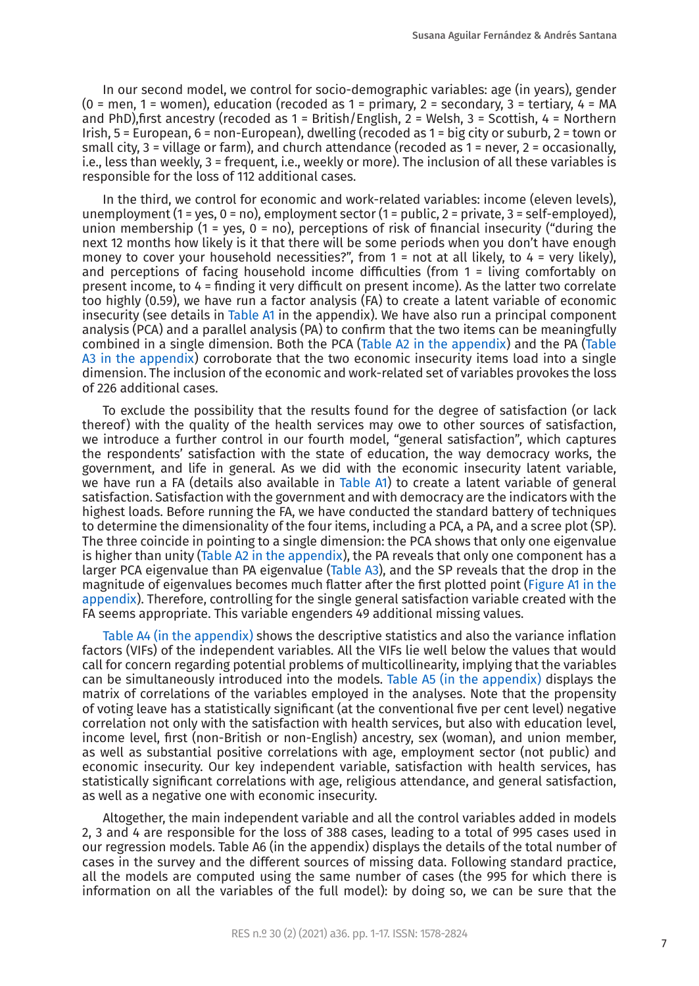In our second model, we control for socio-demographic variables: age (in years), gender (0 = men, 1 = women), education (recoded as 1 = primary, 2 = secondary, 3 = tertiary,  $\frac{1}{4}$  = MA and PhD), first ancestry (recoded as  $1 =$  British/English,  $2 =$  Welsh,  $3 =$  Scottish,  $4 =$  Northern Irish, 5 = European, 6 = non-European), dwelling (recoded as 1 = big city or suburb, 2 = town or small city, 3 = village or farm), and church attendance (recoded as 1 = never, 2 = occasionally, i.e., less than weekly, 3 = frequent, i.e., weekly or more). The inclusion of all these variables is responsible for the loss of 112 additional cases.

In the third, we control for economic and work-related variables: income (eleven levels), unemployment (1 = yes, 0 = no), employment sector (1 = public, 2 = private, 3 = self-employed). union membership (1 = yes,  $0 = \text{no}$ ), perceptions of risk of financial insecurity ("during the next 12 months how likely is it that there will be some periods when you don't have enough money to cover your household necessities?", from  $1 =$  not at all likely, to  $4 =$  very likely), and perceptions of facing household income difficulties (from 1 = living comfortably on present income, to 4 = finding it very difficult on present income). As the latter two correlate too highly (0.59), we have run a factor analysis (FA) to create a latent variable of economic insecurity (see details in [Table A1](#page-14-6) in the appendix). We have also run a principal component analysis (PCA) and a parallel analysis (PA) to confirm that the two items can be meaningfully combined in a single dimension. Both the PCA [\(Table A2 in the appendix](#page-14-7)) and the PA ([Table](#page-15-0) [A3 in the appendix](#page-15-0)) corroborate that the two economic insecurity items load into a single dimension. The inclusion of the economic and work-related set of variables provokes the loss of 226 additional cases.

To exclude the possibility that the results found for the degree of satisfaction (or lack thereof) with the quality of the health services may owe to other sources of satisfaction, we introduce a further control in our fourth model, "general satisfaction", which captures the respondents' satisfaction with the state of education, the way democracy works, the government, and life in general. As we did with the economic insecurity latent variable, we have run a FA (details also available in [Table A1](#page-14-6)) to create a latent variable of general satisfaction. Satisfaction with the government and with democracy are the indicators with the highest loads. Before running the FA, we have conducted the standard battery of techniques to determine the dimensionality of the four items, including a PCA, a PA, and a scree plot (SP). The three coincide in pointing to a single dimension: the PCA shows that only one eigenvalue is higher than unity ([Table A2 in the appendix](#page-14-7)), the PA reveals that only one component has a larger PCA eigenvalue than PA eigenvalue [\(Table A3](#page-15-0)), and the SP reveals that the drop in the magnitude of eigenvalues becomes much flatter after the first plotted point [\(Figure A1 in the](#page-15-1) [appendix](#page-15-1)). Therefore, controlling for the single general satisfaction variable created with the FA seems appropriate. This variable engenders 49 additional missing values.

[Table A4 \(in the appendix\)](#page-15-2) shows the descriptive statistics and also the variance inflation factors (VIFs) of the independent variables. All the VIFs lie well below the values that would call for concern regarding potential problems of multicollinearity, implying that the variables can be simultaneously introduced into the models. [Table A5 \(in the appendix\)](#page-16-0) displays the matrix of correlations of the variables employed in the analyses. Note that the propensity of voting leave has a statistically significant (at the conventional five per cent level) negative correlation not only with the satisfaction with health services, but also with education level, income level, first (non-British or non-English) ancestry, sex (woman), and union member, as well as substantial positive correlations with age, employment sector (not public) and economic insecurity. Our key independent variable, satisfaction with health services, has statistically significant correlations with age, religious attendance, and general satisfaction, as well as a negative one with economic insecurity.

Altogether, the main independent variable and all the control variables added in models 2, 3 and 4 are responsible for the loss of 388 cases, leading to a total of 995 cases used in our regression models. Table A6 (in the appendix) displays the details of the total number of cases in the survey and the different sources of missing data. Following standard practice, all the models are computed using the same number of cases (the 995 for which there is information on all the variables of the full model): by doing so, we can be sure that the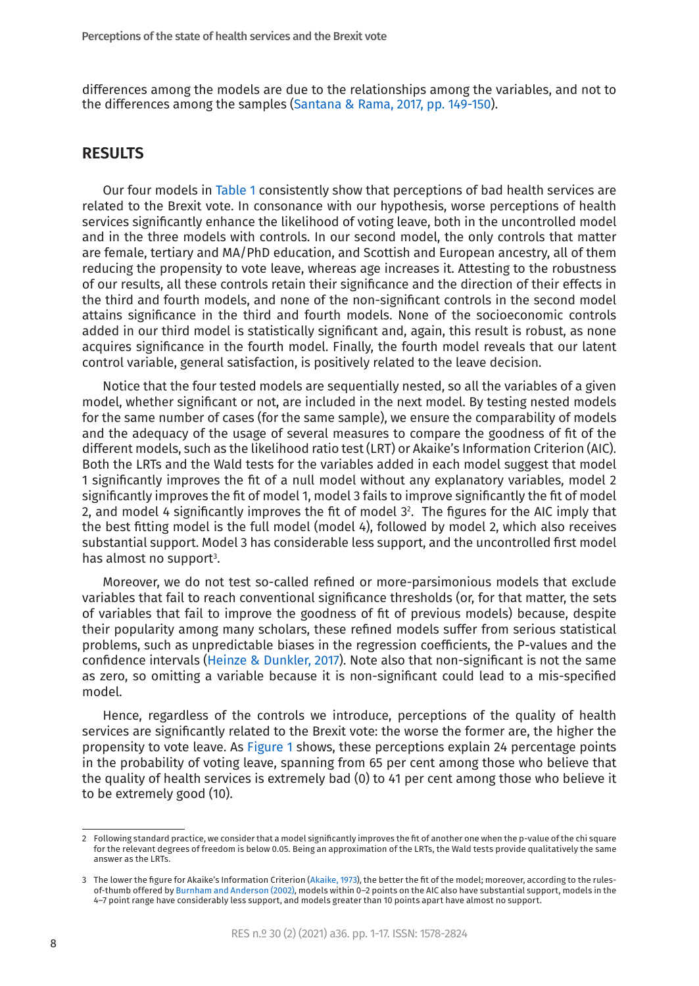differences among the models are due to the relationships among the variables, and not to the differences among the samples ([Santana & Rama, 2017, pp. 149-150\)](#page-14-8).

#### **RESULTS**

Our four models in [Table 1](#page-8-0) consistently show that perceptions of bad health services are related to the Brexit vote. In consonance with our hypothesis, worse perceptions of health services significantly enhance the likelihood of voting leave, both in the uncontrolled model and in the three models with controls. In our second model, the only controls that matter are female, tertiary and MA/PhD education, and Scottish and European ancestry, all of them reducing the propensity to vote leave, whereas age increases it. Attesting to the robustness of our results, all these controls retain their significance and the direction of their effects in the third and fourth models, and none of the non-significant controls in the second model attains significance in the third and fourth models. None of the socioeconomic controls added in our third model is statistically significant and, again, this result is robust, as none acquires significance in the fourth model. Finally, the fourth model reveals that our latent control variable, general satisfaction, is positively related to the leave decision.

Notice that the four tested models are sequentially nested, so all the variables of a given model, whether significant or not, are included in the next model. By testing nested models for the same number of cases (for the same sample), we ensure the comparability of models and the adequacy of the usage of several measures to compare the goodness of fit of the different models, such as the likelihood ratio test (LRT) or Akaike's Information Criterion (AIC). Both the LRTs and the Wald tests for the variables added in each model suggest that model 1 significantly improves the fit of a null model without any explanatory variables, model 2 significantly improves the fit of model 1, model 3 fails to improve significantly the fit of model 2, and model 4 significantly improves the fit of model 32 . The figures for the AIC imply that the best fitting model is the full model (model 4), followed by model 2, which also receives substantial support. Model 3 has considerable less support, and the uncontrolled first model has almost no support<sup>3</sup>.

Moreover, we do not test so-called refined or more-parsimonious models that exclude variables that fail to reach conventional significance thresholds (or, for that matter, the sets of variables that fail to improve the goodness of fit of previous models) because, despite their popularity among many scholars, these refined models suffer from serious statistical problems, such as unpredictable biases in the regression coefficients, the P-values and the confidence intervals [\(Heinze & Dunkler, 2017\)](#page-13-14). Note also that non-significant is not the same as zero, so omitting a variable because it is non-significant could lead to a mis-specified model.

Hence, regardless of the controls we introduce, perceptions of the quality of health services are significantly related to the Brexit vote: the worse the former are, the higher the propensity to vote leave. As [Figure 1](#page-10-0) shows, these perceptions explain 24 percentage points in the probability of voting leave, spanning from 65 per cent among those who believe that the quality of health services is extremely bad (0) to 41 per cent among those who believe it to be extremely good (10).

<sup>2</sup> Following standard practice, we consider that a model significantly improves the fit of another one when the p-value of the chi square for the relevant degrees of freedom is below 0.05. Being an approximation of the LRTs, the Wald tests provide qualitatively the same answer as the LRTs.

<sup>3</sup> The lower the figure for Akaike's Information Criterion ([Akaike, 1973](#page-11-3)), the better the fit of the model; moreover, according to the rulesof-thumb offered by [Burnham and Anderson \(2002\)](#page-12-13), models within 0–2 points on the AIC also have substantial support, models in the 4–7 point range have considerably less support, and models greater than 10 points apart have almost no support.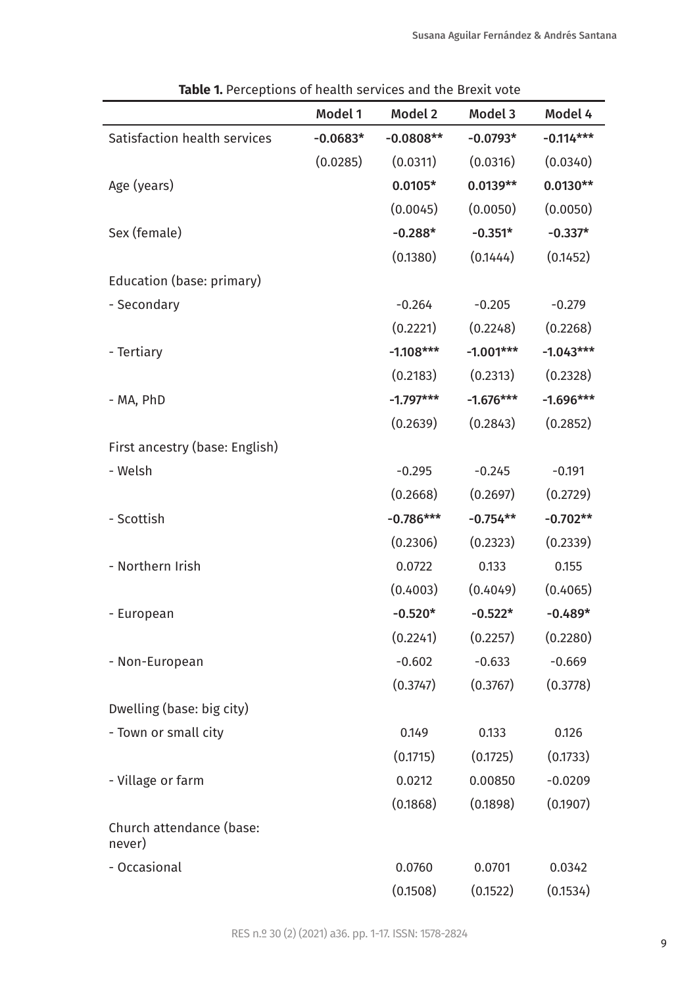|                                    | Model 1    | Model 2     | Model 3     | Model 4     |
|------------------------------------|------------|-------------|-------------|-------------|
| Satisfaction health services       | $-0.0683*$ | $-0.0808**$ | $-0.0793*$  | $-0.114***$ |
|                                    | (0.0285)   | (0.0311)    | (0.0316)    | (0.0340)    |
| Age (years)                        |            | $0.0105*$   | $0.0139**$  | $0.0130**$  |
|                                    |            | (0.0045)    | (0.0050)    | (0.0050)    |
| Sex (female)                       |            | $-0.288*$   | $-0.351*$   | $-0.337*$   |
|                                    |            | (0.1380)    | (0.1444)    | (0.1452)    |
| Education (base: primary)          |            |             |             |             |
| - Secondary                        |            | $-0.264$    | $-0.205$    | $-0.279$    |
|                                    |            | (0.2221)    | (0.2248)    | (0.2268)    |
| - Tertiary                         |            | $-1.108***$ | $-1.001***$ | $-1.043***$ |
|                                    |            | (0.2183)    | (0.2313)    | (0.2328)    |
| - MA, PhD                          |            | $-1.797***$ | $-1.676***$ | $-1.696***$ |
|                                    |            | (0.2639)    | (0.2843)    | (0.2852)    |
| First ancestry (base: English)     |            |             |             |             |
| - Welsh                            |            | $-0.295$    | $-0.245$    | $-0.191$    |
|                                    |            | (0.2668)    | (0.2697)    | (0.2729)    |
| - Scottish                         |            | $-0.786***$ | $-0.754**$  | $-0.702**$  |
|                                    |            | (0.2306)    | (0.2323)    | (0.2339)    |
| - Northern Irish                   |            | 0.0722      | 0.133       | 0.155       |
|                                    |            | (0.4003)    | (0.4049)    | (0.4065)    |
| - European                         |            | $-0.520*$   | $-0.522*$   | $-0.489*$   |
|                                    |            | (0.2241)    | (0.2257)    | (0.2280)    |
| - Non-European                     |            | $-0.602$    | $-0.633$    | $-0.669$    |
|                                    |            | (0.3747)    | (0.3767)    | (0.3778)    |
| Dwelling (base: big city)          |            |             |             |             |
| - Town or small city               |            | 0.149       | 0.133       | 0.126       |
|                                    |            | (0.1715)    | (0.1725)    | (0.1733)    |
| - Village or farm                  |            | 0.0212      | 0.00850     | $-0.0209$   |
|                                    |            | (0.1868)    | (0.1898)    | (0.1907)    |
| Church attendance (base:<br>never) |            |             |             |             |
| - Occasional                       |            | 0.0760      | 0.0701      | 0.0342      |
|                                    |            | (0.1508)    | (0.1522)    | (0.1534)    |

<span id="page-8-0"></span>**Table 1.** Perceptions of health services and the Brexit vote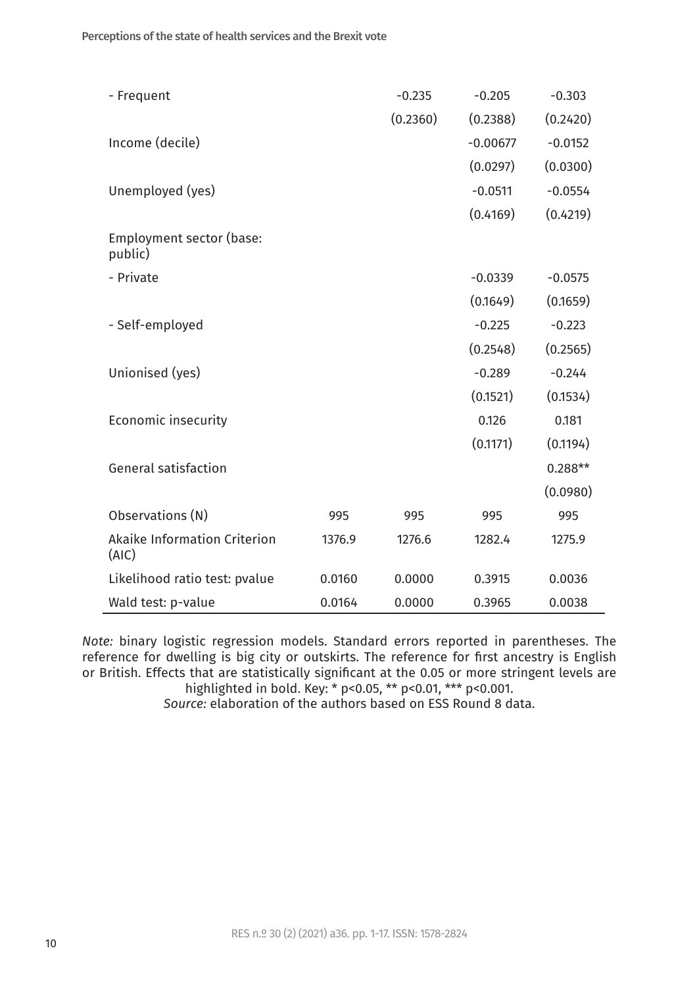| - Frequent                            |        | $-0.235$ | $-0.205$   | $-0.303$  |
|---------------------------------------|--------|----------|------------|-----------|
|                                       |        | (0.2360) | (0.2388)   | (0.2420)  |
| Income (decile)                       |        |          | $-0.00677$ | $-0.0152$ |
|                                       |        |          | (0.0297)   | (0.0300)  |
| Unemployed (yes)                      |        |          | $-0.0511$  | $-0.0554$ |
|                                       |        |          | (0.4169)   | (0.4219)  |
| Employment sector (base:<br>public)   |        |          |            |           |
| - Private                             |        |          | $-0.0339$  | $-0.0575$ |
|                                       |        |          | (0.1649)   | (0.1659)  |
| - Self-employed                       |        |          | $-0.225$   | $-0.223$  |
|                                       |        |          | (0.2548)   | (0.2565)  |
| Unionised (yes)                       |        |          | $-0.289$   | $-0.244$  |
|                                       |        |          | (0.1521)   | (0.1534)  |
| Economic insecurity                   |        |          | 0.126      | 0.181     |
|                                       |        |          | (0.1171)   | (0.1194)  |
| General satisfaction                  |        |          |            | $0.288**$ |
|                                       |        |          |            | (0.0980)  |
| Observations (N)                      | 995    | 995      | 995        | 995       |
| Akaike Information Criterion<br>(AIC) | 1376.9 | 1276.6   | 1282.4     | 1275.9    |
| Likelihood ratio test: pvalue         | 0.0160 | 0.0000   | 0.3915     | 0.0036    |
| Wald test: p-value                    | 0.0164 | 0.0000   | 0.3965     | 0.0038    |

*Note:* binary logistic regression models. Standard errors reported in parentheses. The reference for dwelling is big city or outskirts. The reference for first ancestry is English or British. Effects that are statistically significant at the 0.05 or more stringent levels are highlighted in bold. Key: \* p<0.05, \*\* p<0.01, \*\*\* p<0.001.

*Source:* elaboration of the authors based on ESS Round 8 data.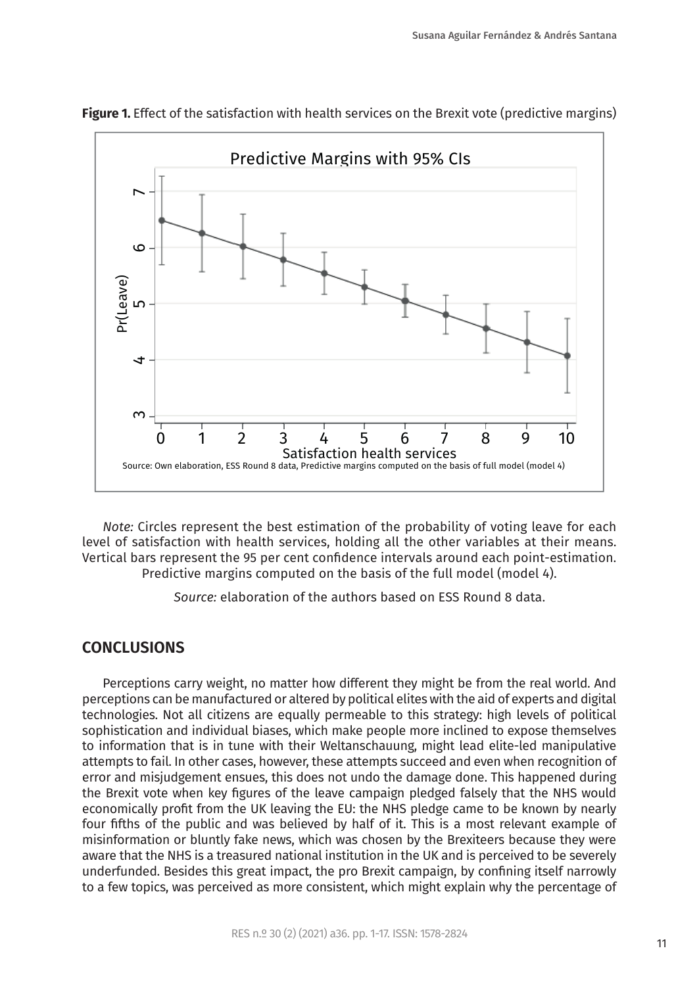

<span id="page-10-0"></span>**Figure 1.** Effect of the satisfaction with health services on the Brexit vote (predictive margins)

*Note:* Circles represent the best estimation of the probability of voting leave for each level of satisfaction with health services, holding all the other variables at their means. Vertical bars represent the 95 per cent confidence intervals around each point-estimation. Predictive margins computed on the basis of the full model (model 4).

*Source:* elaboration of the authors based on ESS Round 8 data.

### **CONCLUSIONS**

Perceptions carry weight, no matter how different they might be from the real world. And perceptions can be manufactured or altered by political elites with the aid of experts and digital technologies. Not all citizens are equally permeable to this strategy: high levels of political sophistication and individual biases, which make people more inclined to expose themselves to information that is in tune with their Weltanschauung, might lead elite-led manipulative attempts to fail. In other cases, however, these attempts succeed and even when recognition of error and misjudgement ensues, this does not undo the damage done. This happened during the Brexit vote when key figures of the leave campaign pledged falsely that the NHS would economically profit from the UK leaving the EU: the NHS pledge came to be known by nearly four fifths of the public and was believed by half of it. This is a most relevant example of misinformation or bluntly fake news, which was chosen by the Brexiteers because they were aware that the NHS is a treasured national institution in the UK and is perceived to be severely underfunded. Besides this great impact, the pro Brexit campaign, by confining itself narrowly to a few topics, was perceived as more consistent, which might explain why the percentage of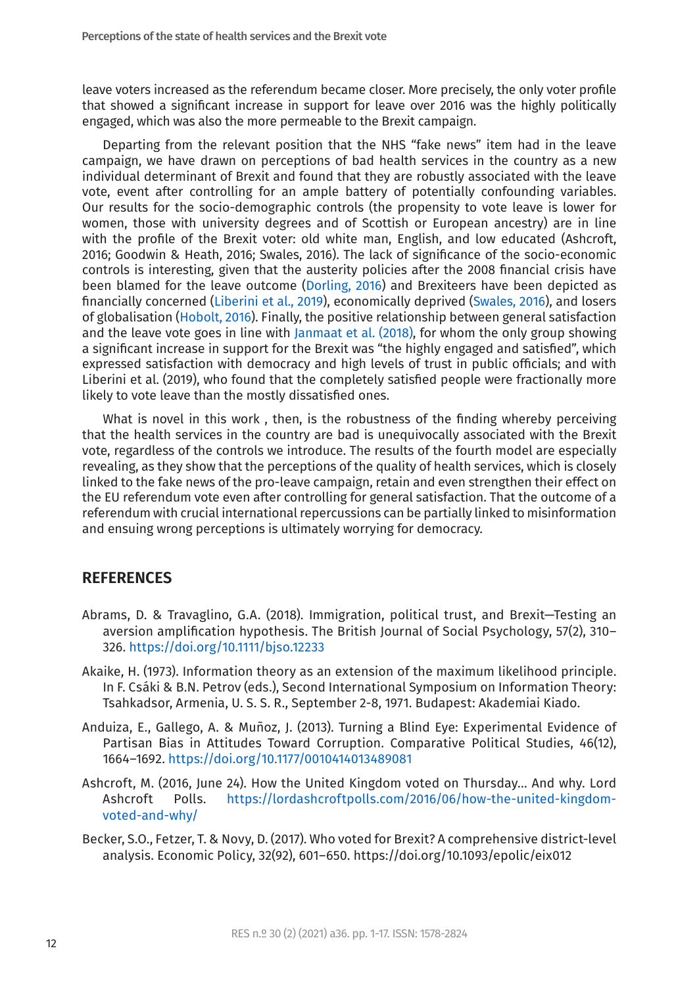leave voters increased as the referendum became closer. More precisely, the only voter profile that showed a significant increase in support for leave over 2016 was the highly politically engaged, which was also the more permeable to the Brexit campaign.

Departing from the relevant position that the NHS "fake news" item had in the leave campaign, we have drawn on perceptions of bad health services in the country as a new individual determinant of Brexit and found that they are robustly associated with the leave vote, event after controlling for an ample battery of potentially confounding variables. Our results for the socio-demographic controls (the propensity to vote leave is lower for women, those with university degrees and of Scottish or European ancestry) are in line with the profile of the Brexit voter: old white man, English, and low educated (Ashcroft, 2016; Goodwin & Heath, 2016; Swales, 2016). The lack of significance of the socio-economic controls is interesting, given that the austerity policies after the 2008 financial crisis have been blamed for the leave outcome [\(Dorling, 2016](#page-12-14)) and Brexiteers have been depicted as financially concerned ([Liberini et al., 2019\)](#page-13-5), economically deprived ([Swales, 2016](#page-14-0)), and losers of globalisation [\(Hobolt, 2016](#page-13-1)). Finally, the positive relationship between general satisfaction and the leave vote goes in line with [Janmaat et al. \(2018\),](#page-13-6) for whom the only group showing a significant increase in support for the Brexit was "the highly engaged and satisfied", which expressed satisfaction with democracy and high levels of trust in public officials; and with Liberini et al. (2019), who found that the completely satisfied people were fractionally more likely to vote leave than the mostly dissatisfied ones.

What is novel in this work , then, is the robustness of the finding whereby perceiving that the health services in the country are bad is unequivocally associated with the Brexit vote, regardless of the controls we introduce. The results of the fourth model are especially revealing, as they show that the perceptions of the quality of health services, which is closely linked to the fake news of the pro-leave campaign, retain and even strengthen their effect on the EU referendum vote even after controlling for general satisfaction. That the outcome of a referendum with crucial international repercussions can be partially linked to misinformation and ensuing wrong perceptions is ultimately worrying for democracy.

### **REFERENCES**

- <span id="page-11-2"></span>Abrams, D. & Travaglino, G.A. (2018). Immigration, political trust, and Brexit—Testing an aversion amplification hypothesis. The British Journal of Social Psychology, 57(2), 310– 326.<https://doi.org/10.1111/bjso.12233>
- <span id="page-11-3"></span>Akaike, H. (1973). Information theory as an extension of the maximum likelihood principle. In F. Csáki & B.N. Petrov (eds.), Second International Symposium on Information Theory: Tsahkadsor, Armenia, U. S. S. R., September 2-8, 1971. Budapest: Akademiai Kiado.
- Anduiza, E., Gallego, A. & Muñoz, J. (2013). Turning a Blind Eye: Experimental Evidence of Partisan Bias in Attitudes Toward Corruption. Comparative Political Studies, 46(12), 1664–1692.<https://doi.org/10.1177/0010414013489081>
- <span id="page-11-1"></span>Ashcroft, M. (2016, June 24). How the United Kingdom voted on Thursday... And why. Lord Ashcroft Polls. [https://lordashcroftpolls.com/2016/06/how-the-united-kingdom](https://lordashcroftpolls.com/2016/06/how-the-united-kingdom-voted-and-why/)[voted-and-why/](https://lordashcroftpolls.com/2016/06/how-the-united-kingdom-voted-and-why/)
- <span id="page-11-0"></span>Becker, S.O., Fetzer, T. & Novy, D. (2017). Who voted for Brexit? A comprehensive district-level analysis. Economic Policy, 32(92), 601–650. https://doi.org/10.1093/epolic/eix012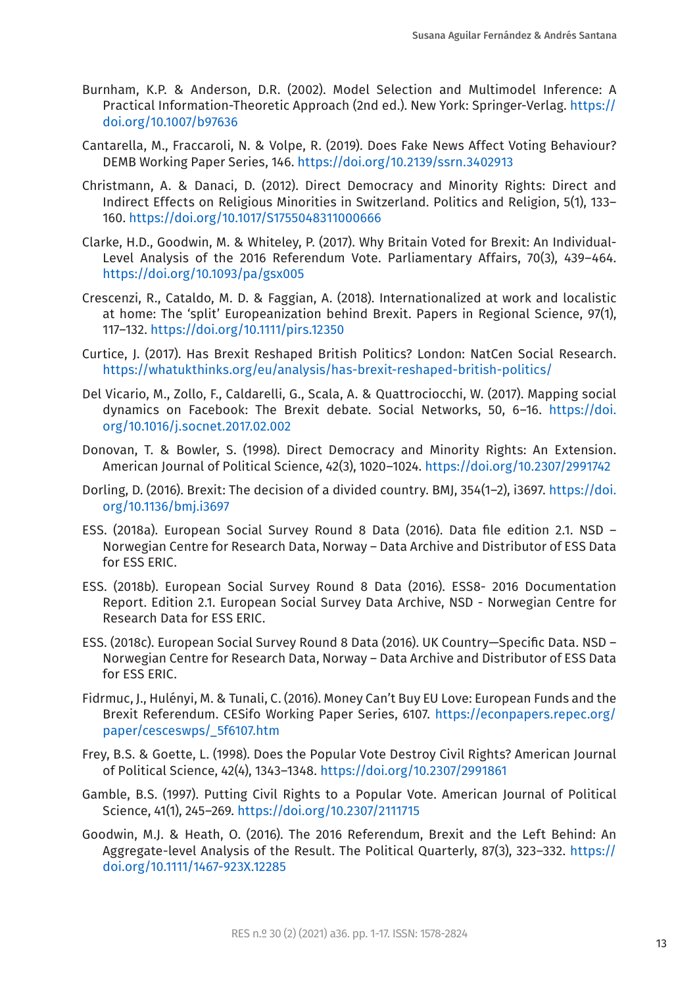- <span id="page-12-13"></span>Burnham, K.P. & Anderson, D.R. (2002). Model Selection and Multimodel Inference: A Practical Information-Theoretic Approach (2nd ed.). New York: Springer-Verlag. [https://](https://doi.org/10.1007/b97636) [doi.org/10.1007/b97636](https://doi.org/10.1007/b97636)
- <span id="page-12-7"></span>Cantarella, M., Fraccaroli, N. & Volpe, R. (2019). Does Fake News Affect Voting Behaviour? DEMB Working Paper Series, 146.<https://doi.org/10.2139/ssrn.3402913>
- <span id="page-12-10"></span>Christmann, A. & Danaci, D. (2012). Direct Democracy and Minority Rights: Direct and Indirect Effects on Religious Minorities in Switzerland. Politics and Religion, 5(1), 133– 160.<https://doi.org/10.1017/S1755048311000666>
- <span id="page-12-2"></span>Clarke, H.D., Goodwin, M. & Whiteley, P. (2017). Why Britain Voted for Brexit: An Individual-Level Analysis of the 2016 Referendum Vote. Parliamentary Affairs, 70(3), 439–464. <https://doi.org/10.1093/pa/gsx005>
- <span id="page-12-4"></span>Crescenzi, R., Cataldo, M. D. & Faggian, A. (2018). Internationalized at work and localistic at home: The 'split' Europeanization behind Brexit. Papers in Regional Science, 97(1), 117–132. <https://doi.org/10.1111/pirs.12350>
- <span id="page-12-1"></span>Curtice, J. (2017). Has Brexit Reshaped British Politics? London: NatCen Social Research. <https://whatukthinks.org/eu/analysis/has-brexit-reshaped-british-politics/>
- <span id="page-12-3"></span>Del Vicario, M., Zollo, F., Caldarelli, G., Scala, A. & Quattrociocchi, W. (2017). Mapping social dynamics on Facebook: The Brexit debate. Social Networks, 50, 6–16. [https://doi.](https://doi.org/10.1016/j.socnet.2017.02.002) [org/10.1016/j.socnet.2017.02.002](https://doi.org/10.1016/j.socnet.2017.02.002)
- <span id="page-12-9"></span>Donovan, T. & Bowler, S. (1998). Direct Democracy and Minority Rights: An Extension. American Journal of Political Science, 42(3), 1020–1024. [https://doi.org/10.2307/2991742](https://doi.org/10.2307/2991742
)
- <span id="page-12-14"></span>Dorling, D. (2016). Brexit: The decision of a divided country. BMJ, 354(1–2), i3697. [https://doi.](https://doi.org/10.1136/bmj.i3697
) [org/10.1136/bmj.i3697](https://doi.org/10.1136/bmj.i3697
)
- <span id="page-12-5"></span>ESS. (2018a). European Social Survey Round 8 Data (2016). Data file edition 2.1. NSD – Norwegian Centre for Research Data, Norway – Data Archive and Distributor of ESS Data for ESS ERIC.
- <span id="page-12-12"></span>ESS. (2018b). European Social Survey Round 8 Data (2016). ESS8- 2016 Documentation Report. Edition 2.1. European Social Survey Data Archive, NSD - Norwegian Centre for Research Data for ESS ERIC.
- <span id="page-12-6"></span>ESS. (2018c). European Social Survey Round 8 Data (2016). UK Country—Specific Data. NSD – Norwegian Centre for Research Data, Norway – Data Archive and Distributor of ESS Data for ESS ERIC.
- Fidrmuc, J., Hulényi, M. & Tunali, C. (2016). Money Can't Buy EU Love: European Funds and the Brexit Referendum. CESifo Working Paper Series, 6107. [https://econpapers.repec.org/](https://econpapers.repec.org/paper/cesceswps/_5f6107.htm) [paper/cesceswps/\\_5f6107.htm](https://econpapers.repec.org/paper/cesceswps/_5f6107.htm)
- <span id="page-12-11"></span>Frey, B.S. & Goette, L. (1998). Does the Popular Vote Destroy Civil Rights? American Journal of Political Science, 42(4), 1343–1348.<https://doi.org/10.2307/2991861>
- <span id="page-12-8"></span>Gamble, B.S. (1997). Putting Civil Rights to a Popular Vote. American Journal of Political Science, 41(1), 245–269. <https://doi.org/10.2307/2111715>
- <span id="page-12-0"></span>Goodwin, M.J. & Heath, O. (2016). The 2016 Referendum, Brexit and the Left Behind: An Aggregate-level Analysis of the Result. The Political Quarterly, 87(3), 323–332. [https://](https://doi.org/10.1111/1467-923X.12285) [doi.org/10.1111/1467-923X.12285](https://doi.org/10.1111/1467-923X.12285)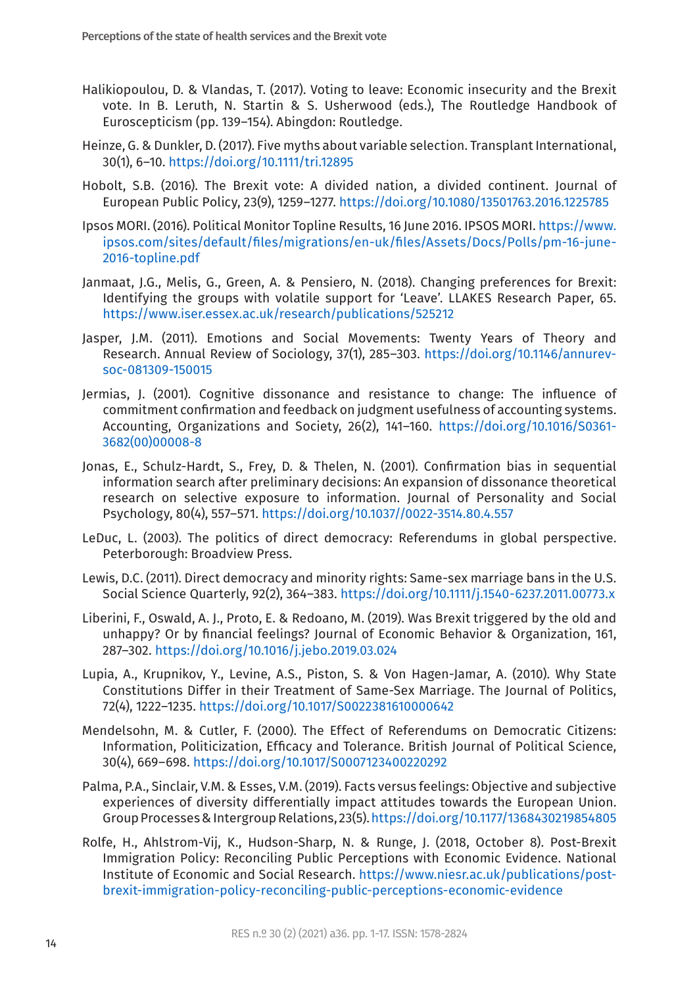- <span id="page-13-0"></span>Halikiopoulou, D. & Vlandas, T. (2017). Voting to leave: Economic insecurity and the Brexit vote. In B. Leruth, N. Startin & S. Usherwood (eds.), The Routledge Handbook of Euroscepticism (pp. 139–154). Abingdon: Routledge.
- <span id="page-13-14"></span>Heinze, G. & Dunkler, D. (2017). Five myths about variable selection. Transplant International, 30(1), 6–10.<https://doi.org/10.1111/tri.12895>
- <span id="page-13-1"></span>Hobolt, S.B. (2016). The Brexit vote: A divided nation, a divided continent. Journal of European Public Policy, 23(9), 1259–1277. [https://doi.org/10.1080/13501763.2016.1225785](https://doi.org/10.1080/13501763.2016.1225785
)
- <span id="page-13-4"></span>Ipsos MORI. (2016). Political Monitor Topline Results, 16 June 2016. IPSOS MORI. [https://www.](https://www.ipsos.com/sites/default/files/migrations/en-uk/files/Assets/Docs/Polls/pm-16-june-2016-topline.pdf) [ipsos.com/sites/default/files/migrations/en-uk/files/Assets/Docs/Polls/pm-16-june-](https://www.ipsos.com/sites/default/files/migrations/en-uk/files/Assets/Docs/Polls/pm-16-june-2016-topline.pdf)[2016-topline.pdf](https://www.ipsos.com/sites/default/files/migrations/en-uk/files/Assets/Docs/Polls/pm-16-june-2016-topline.pdf)
- <span id="page-13-6"></span>Janmaat, J.G., Melis, G., Green, A. & Pensiero, N. (2018). Changing preferences for Brexit: Identifying the groups with volatile support for 'Leave'. LLAKES Research Paper, 65. <https://www.iser.essex.ac.uk/research/publications/525212>
- <span id="page-13-9"></span>Jasper, J.M. (2011). Emotions and Social Movements: Twenty Years of Theory and Research. Annual Review of Sociology, 37(1), 285–303. [https://doi.org/10.1146/annurev](https://doi.org/10.1146/annurev-soc-081309-150015
)[soc-081309-150015](https://doi.org/10.1146/annurev-soc-081309-150015
)
- <span id="page-13-7"></span>Jermias, J. (2001). Cognitive dissonance and resistance to change: The influence of commitment confirmation and feedback on judgment usefulness of accounting systems. Accounting, Organizations and Society, 26(2), 141–160. [https://doi.org/10.1016/S0361-](https://doi.org/10.1016/S0361-3682(00)00008-8) [3682\(00\)00008-8](https://doi.org/10.1016/S0361-3682(00)00008-8)
- <span id="page-13-8"></span>Jonas, E., Schulz-Hardt, S., Frey, D. & Thelen, N. (2001). Confirmation bias in sequential information search after preliminary decisions: An expansion of dissonance theoretical research on selective exposure to information. Journal of Personality and Social Psychology, 80(4), 557–571. <https://doi.org/10.1037//0022-3514.80.4.557>
- <span id="page-13-11"></span>LeDuc, L. (2003). The politics of direct democracy: Referendums in global perspective. Peterborough: Broadview Press.
- <span id="page-13-13"></span>Lewis, D.C. (2011). Direct democracy and minority rights: Same-sex marriage bans in the U.S. Social Science Quarterly, 92(2), 364–383. [https://doi.org/10.1111/j.1540-6237.2011.00773.x](https://doi.org/10.1111/j.1540-6237.2011.00773.x
)
- <span id="page-13-5"></span>Liberini, F., Oswald, A. J., Proto, E. & Redoano, M. (2019). Was Brexit triggered by the old and unhappy? Or by financial feelings? Journal of Economic Behavior & Organization, 161, 287–302.<https://doi.org/10.1016/j.jebo.2019.03.024>
- <span id="page-13-12"></span>Lupia, A., Krupnikov, Y., Levine, A.S., Piston, S. & Von Hagen-Jamar, A. (2010). Why State Constitutions Differ in their Treatment of Same-Sex Marriage. The Journal of Politics, 72(4), 1222–1235.<https://doi.org/10.1017/S0022381610000642>
- <span id="page-13-10"></span>Mendelsohn, M. & Cutler, F. (2000). The Effect of Referendums on Democratic Citizens: Information, Politicization, Efficacy and Tolerance. British Journal of Political Science, 30(4), 669–698.<https://doi.org/10.1017/S0007123400220292>
- <span id="page-13-2"></span>Palma, P.A., Sinclair, V.M. & Esses, V.M. (2019). Facts versus feelings: Objective and subjective experiences of diversity differentially impact attitudes towards the European Union. Group Processes & Intergroup Relations, 23(5).<https://doi.org/10.1177/1368430219854805>
- <span id="page-13-3"></span>Rolfe, H., Ahlstrom-Vij, K., Hudson-Sharp, N. & Runge, J. (2018, October 8). Post-Brexit Immigration Policy: Reconciling Public Perceptions with Economic Evidence. National Institute of Economic and Social Research. [https://www.niesr.ac.uk/publications/post](https://www.niesr.ac.uk/publications/post-brexit-immigration-policy-reconciling-public-perceptions-economic-evidence)[brexit-immigration-policy-reconciling-public-perceptions-economic-evidence](https://www.niesr.ac.uk/publications/post-brexit-immigration-policy-reconciling-public-perceptions-economic-evidence)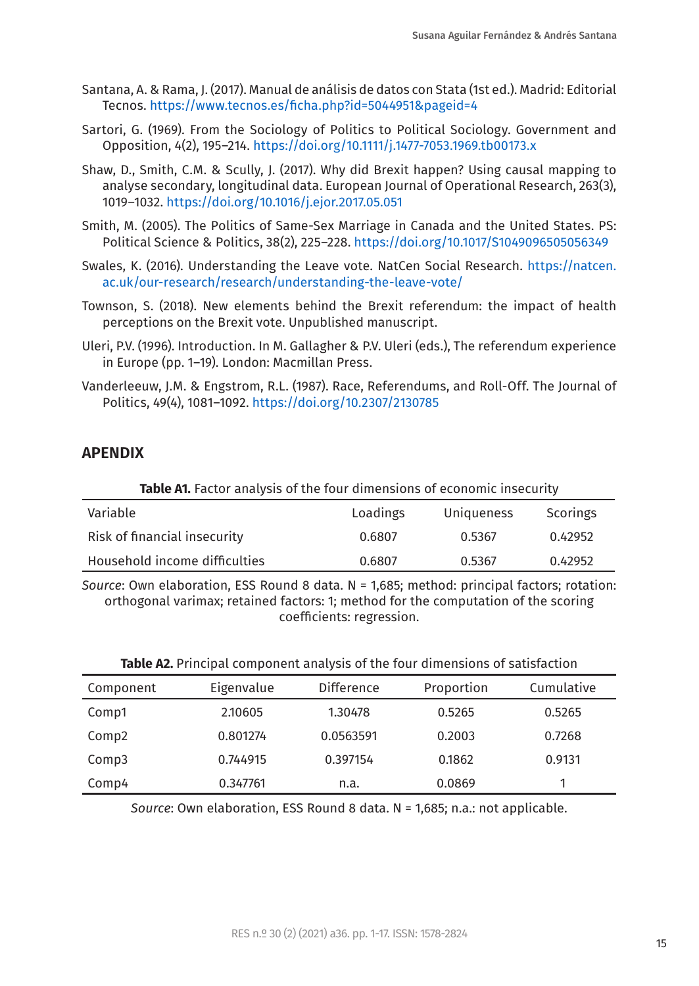- <span id="page-14-8"></span>Santana, A. & Rama, J. (2017). Manual de análisis de datos con Stata (1st ed.). Madrid: Editorial Tecnos.<https://www.tecnos.es/ficha.php?id=5044951&pageid=4>
- Sartori, G. (1969). From the Sociology of Politics to Political Sociology. Government and Opposition, 4(2), 195–214. <https://doi.org/10.1111/j.1477-7053.1969.tb00173.x>
- <span id="page-14-2"></span>Shaw, D., Smith, C.M. & Scully, J. (2017). Why did Brexit happen? Using causal mapping to analyse secondary, longitudinal data. European Journal of Operational Research, 263(3), 1019–1032. <https://doi.org/10.1016/j.ejor.2017.05.051>
- <span id="page-14-4"></span>Smith, M. (2005). The Politics of Same-Sex Marriage in Canada and the United States. PS: Political Science & Politics, 38(2), 225–228. [https://doi.org/10.1017/S1049096505056349](https://doi.org/10.1017/S1049096505056349
)
- <span id="page-14-0"></span>Swales, K. (2016). Understanding the Leave vote. NatCen Social Research. [https://natcen.](https://natcen.ac.uk/our-research/research/understanding-the-leave-vote/) [ac.uk/our-research/research/understanding-the-leave-vote/](https://natcen.ac.uk/our-research/research/understanding-the-leave-vote/)
- <span id="page-14-1"></span>Townson, S. (2018). New elements behind the Brexit referendum: the impact of health perceptions on the Brexit vote. Unpublished manuscript.
- <span id="page-14-5"></span>Uleri, P.V. (1996). Introduction. In M. Gallagher & P.V. Uleri (eds.), The referendum experience in Europe (pp. 1–19). London: Macmillan Press.
- <span id="page-14-3"></span>Vanderleeuw, J.M. & Engstrom, R.L. (1987). Race, Referendums, and Roll-Off. The Journal of Politics, 49(4), 1081–1092. [https://doi.org/10.2307/2130785](https://doi.org/10.2307/2130785
)

### **APENDIX**

<span id="page-14-6"></span>

| <b>Table A1.</b> Factor analysis of the four dimensions of economic insecurity |          |            |          |  |  |  |  |
|--------------------------------------------------------------------------------|----------|------------|----------|--|--|--|--|
| Variable                                                                       | Loadings | Uniqueness | Scorings |  |  |  |  |
| Risk of financial insecurity                                                   | 0.6807   | 0.5367     | 0.42952  |  |  |  |  |
| Household income difficulties                                                  | 0.6807   | 0.5367     | 0.42952  |  |  |  |  |

*Source*: Own elaboration, ESS Round 8 data. N = 1,685; method: principal factors; rotation: orthogonal varimax; retained factors: 1; method for the computation of the scoring coefficients: regression.

<span id="page-14-7"></span>

| Table A2. Principal component analysis of the four dimensions of satisfaction |  |  |  |  |  |
|-------------------------------------------------------------------------------|--|--|--|--|--|
|-------------------------------------------------------------------------------|--|--|--|--|--|

| Component         | Eigenvalue | <b>Difference</b> | Proportion | Cumulative |
|-------------------|------------|-------------------|------------|------------|
| Comp1             | 2.10605    | 1.30478           | 0.5265     | 0.5265     |
| Comp <sub>2</sub> | 0.801274   | 0.0563591         | 0.2003     | 0.7268     |
| Comp3             | 0.744915   | 0.397154          | 0.1862     | 0.9131     |
| Comp4             | 0.347761   | n.a.              | 0.0869     |            |

*Source*: Own elaboration, ESS Round 8 data. N = 1,685; n.a.: not applicable.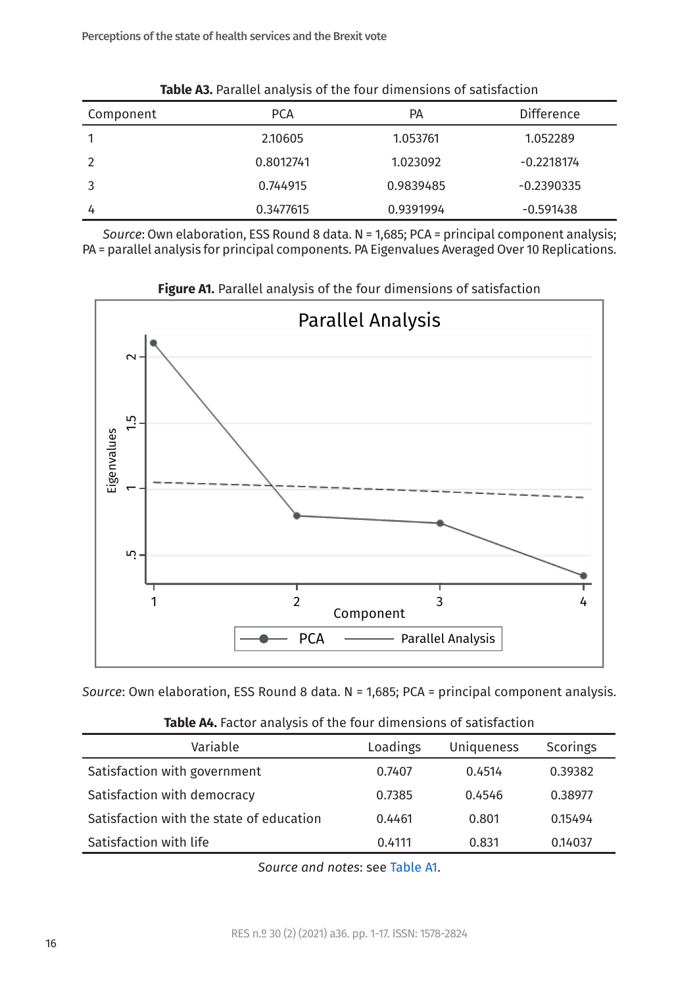<span id="page-15-0"></span>

| <b>Table A3.</b> Parallel analysis of the four dimensions of satisfaction |            |           |                   |  |  |  |  |
|---------------------------------------------------------------------------|------------|-----------|-------------------|--|--|--|--|
| Component                                                                 | <b>PCA</b> | РA        | <b>Difference</b> |  |  |  |  |
|                                                                           | 2.10605    | 1.053761  | 1.052289          |  |  |  |  |
|                                                                           | 0.8012741  | 1.023092  | $-0.2218174$      |  |  |  |  |
|                                                                           | 0.744915   | 0.9839485 | $-0.2390335$      |  |  |  |  |
| 4                                                                         | 0.3477615  | 0.9391994 | $-0.591438$       |  |  |  |  |

*Source*: Own elaboration, ESS Round 8 data. N = 1,685; PCA = principal component analysis; PA = parallel analysis for principal components. PA Eigenvalues Averaged Over 10 Replications.



<span id="page-15-1"></span>**Figure A1.** Parallel analysis of the four dimensions of satisfaction

*Source*: Own elaboration, ESS Round 8 data. N = 1,685; PCA = principal component analysis.

| Variable                                 | Loadings | Uniqueness | Scorings |  |  |  |  |  |
|------------------------------------------|----------|------------|----------|--|--|--|--|--|
| Satisfaction with government             | 0.7407   | 0.4514     | 0.39382  |  |  |  |  |  |
| Satisfaction with democracy              | 0.7385   | 0.4546     | 0.38977  |  |  |  |  |  |
| Satisfaction with the state of education | 0.4461   | 0.801      | 0.15494  |  |  |  |  |  |
| Satisfaction with life                   | 0.4111   | 0.831      | 0.14037  |  |  |  |  |  |

<span id="page-15-2"></span>

|  | Table A4. Factor analysis of the four dimensions of satisfaction |  |  |  |  |  |  |  |
|--|------------------------------------------------------------------|--|--|--|--|--|--|--|
|--|------------------------------------------------------------------|--|--|--|--|--|--|--|

*Source and notes*: see [Table A1.](#page-14-6)